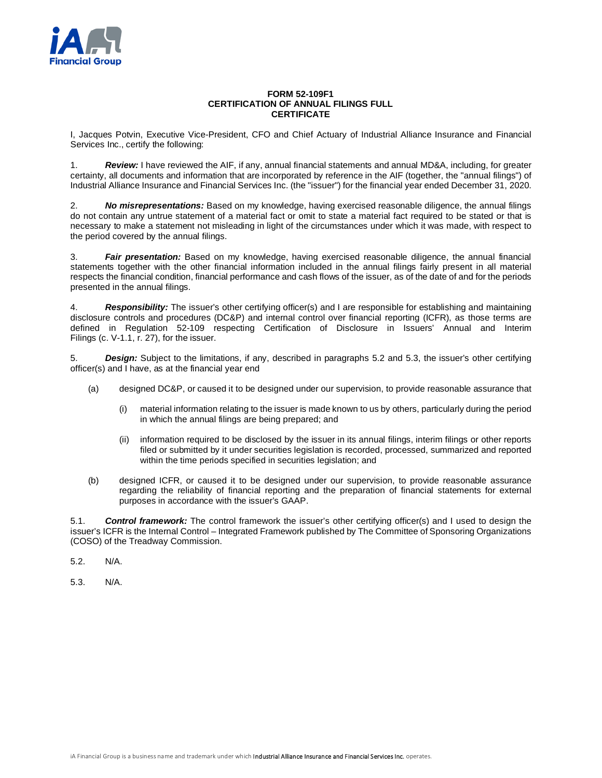

## **FORM 52-109F1 CERTIFICATION OF ANNUAL FILINGS FULL CERTIFICATE**

I, Jacques Potvin, Executive Vice-President, CFO and Chief Actuary of Industrial Alliance Insurance and Financial Services Inc., certify the following:

1. *Review:* I have reviewed the AIF, if any, annual financial statements and annual MD&A, including, for greater certainty, all documents and information that are incorporated by reference in the AIF (together, the "annual filings") of Industrial Alliance Insurance and Financial Services Inc. (the "issuer") for the financial year ended December 31, 2020.

2. *No misrepresentations:* Based on my knowledge, having exercised reasonable diligence, the annual filings do not contain any untrue statement of a material fact or omit to state a material fact required to be stated or that is necessary to make a statement not misleading in light of the circumstances under which it was made, with respect to the period covered by the annual filings.

3. *Fair presentation:* Based on my knowledge, having exercised reasonable diligence, the annual financial statements together with the other financial information included in the annual filings fairly present in all material respects the financial condition, financial performance and cash flows of the issuer, as of the date of and for the periods presented in the annual filings.

4. *Responsibility:* The issuer's other certifying officer(s) and I are responsible for establishing and maintaining disclosure controls and procedures (DC&P) and internal control over financial reporting (ICFR), as those terms are defined in Regulation 52-109 respecting Certification of Disclosure in Issuers' Annual and Interim Filings (c. V-1.1, r. 27), for the issuer.

5. *Design:* Subject to the limitations, if any, described in paragraphs 5.2 and 5.3, the issuer's other certifying officer(s) and I have, as at the financial year end

- (a) designed DC&P, or caused it to be designed under our supervision, to provide reasonable assurance that
	- (i) material information relating to the issuer is made known to us by others, particularly during the period in which the annual filings are being prepared; and
	- (ii) information required to be disclosed by the issuer in its annual filings, interim filings or other reports filed or submitted by it under securities legislation is recorded, processed, summarized and reported within the time periods specified in securities legislation; and
- (b) designed ICFR, or caused it to be designed under our supervision, to provide reasonable assurance regarding the reliability of financial reporting and the preparation of financial statements for external purposes in accordance with the issuer's GAAP.

5.1. *Control framework:* The control framework the issuer's other certifying officer(s) and I used to design the issuer's ICFR is the Internal Control – Integrated Framework published by The Committee of Sponsoring Organizations (COSO) of the Treadway Commission.

5.2. N/A.

5.3. N/A.